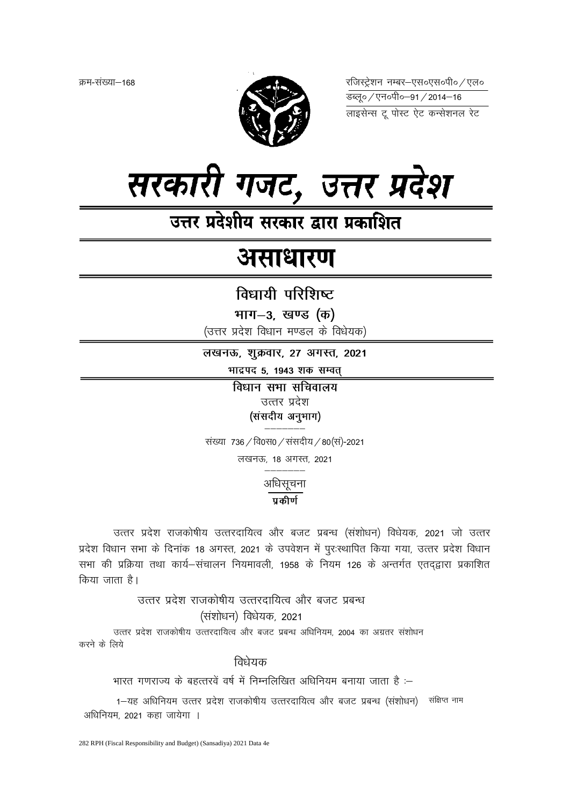क्रम-संख्या–168



रजिस्ट्रेशन नम्बर-एस०एस०पी० / एल० <del>उ</del>ब्ल्० / एन०पी०–91 / 2014–16



उत्तर प्रदेशीय सरकार द्वारा प्रकाशित

# असाधारण

विधायी परिशिष्ट

भाग-3, खण्ड (क)

(उत्तर प्रदेश विधान मण्डल के विधेयक)

लखनऊ, शुक्रवार, 27 अगस्त, 2021

भाद्रपद 5, 1943 शक सम्वत्

विधान सभा सचिवालय उत्तर प्रदेश (संसदीय अनुभाग)

संख्या 736 / वि0स0 / संसदीय / 80 (स)-2021

लखनऊ, 18 अगस्त, 2021

अधिसूचना

# $\overline{\overline{\mathbf{u}}$ ਨੀ $\overline{\mathbf{u}}$

उत्तर प्रदेश राजकोषीय उत्तरदायित्व और बजट प्रबन्ध (संशोधन) विधेयक, 2021 जो उत्तर प्रदेश विधान सभा के दिनांक 18 अगस्त, 2021 के उपवेशन में पुरःस्थापित किया गया, उत्तर प्रदेश विधान सभा की प्रक्रिया तथा कार्य–संचालन नियमावली. 1958 के नियम 126 के अन्तर्गत एतदद्वारा प्रकाशित किया जाता है।

उत्तर प्रदेश राजकोषीय उत्तरदायित्व और बजट प्रबन्ध (संशोधन) विधेयक, 2021 उत्तर प्रदेश राजकोषीय उत्तरदायित्व और बजट प्रबन्ध अधिनियम, 2004 का अग्रतर संशोधन

करने के लिये

विधेयक

भारत गणराज्य के बहत्तरवें वर्ष में निम्नलिखित अधिनियम बनाया जाता है :–

1-यह अधिनियम उत्तर प्रदेश राजकोषीय उत्तरदायित्व और बजट प्रबन्ध (संशोधन) संक्षिप्त नाम अधिनियम. 2021 कहा जायेगा ।

282 RPH (Fiscal Responsibility and Budget) (Sansadiya) 2021 Data 4e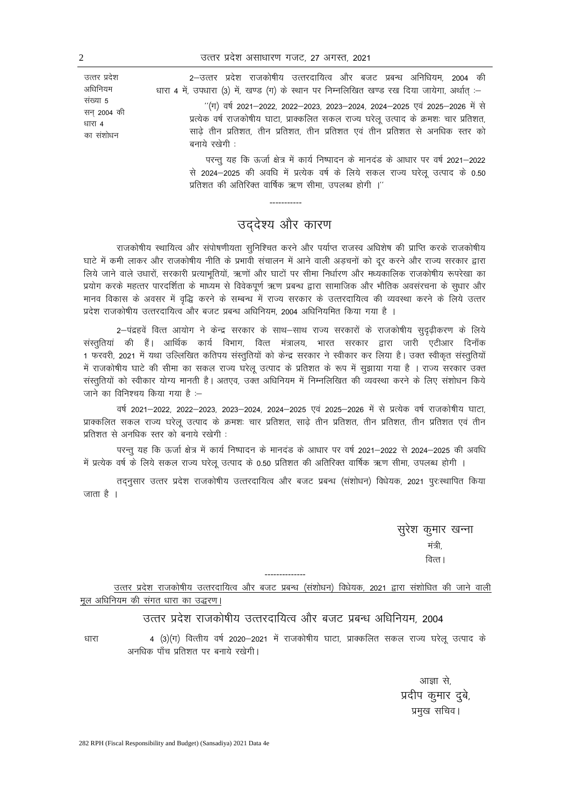2–उत्तर प्रदेश राजकोषीय उत्तरदायित्व और बजट प्रबन्ध अनिधियम, 2004 की धारा 4 में, उपधारा (3) में, खण्ड (ग) के स्थान पर निम्नलिखित खण्ड रख दिया जायेगा, अर्थात :-

> "(ग) वर्ष 2021–2022, 2022–2023, 2023–2024, 2024–2025 एवं 2025–2026 में से प्रत्येक वर्ष राजकोषीय घाटा, प्राक्कलित सकल राज्य घरेलू उत्पाद के क्रमशः चार प्रतिशत, साढे तीन प्रतिशत, तीन प्रतिशत, तीन प्रतिशत एवं तीन प्रतिशत से अनधिक स्तर को बनाये रखेगी :

> परन्तु यह कि ऊर्जा क्षेत्र में कार्य निष्पादन के मानदंड के आधार पर वर्ष 2021–2022 से 2024-2025 की अवधि में प्रत्येक वर्ष के लिये सकल राज्य घरेलू उत्पाद के 0.50 प्रतिशत की अतिरिक्त वार्षिक ऋण सीमा, उपलब्ध होगी ।''

# उददेश्य और कारण

राजकोषीय स्थायित्व और संपोषणीयता सनिश्चित करने और पर्याप्त राजस्व अधिशेष की प्राप्ति करके राजकोषीय घाटे में कमी लाकर और राजकोषीय नीति के प्रभावी संचालन में आने वाली अडचनों को दूर करने और राज्य सरकार द्वारा लिये जाने वाले उधारों, सरकारी प्रत्याभूतियों, ऋणों और घाटों पर सीमा निर्धारण और मध्यकालिक राजकोषीय रूपरेखा का प्रयोग करके महत्तर पारदर्शिता के माध्यम से विवेकपूर्ण ऋण प्रबन्ध द्वारा सामाजिक और भौतिक अवसंरचना के सूधार और मानव विकास के अवसर में वृद्धि करने के सम्बन्ध में राज्य सरकार के उत्तरदायित्व की व्यवस्था करने के लिये उत्तर प्रदेश राजकोषीय उत्तरदायित्व और बजट प्रबन्ध अधिनियम, 2004 अधिनियमित किया गया है ।

2-पंद्रहवें वित्त आयोग ने केन्द्र सरकार के साथ-साथ राज्य सरकारों के राजकोषीय सुदृढ़ीकरण के लिये संस्तुतियां की हैं। आर्थिक कार्य विभाग, वित्त मंत्रालय, भारत सरकार द्वारा जारी एटीआर दिनाँक 1 फरवरी, 2021 में यथा उल्लिखित कतिपय संस्तुतियों को केन्द्र सरकार ने स्वीकार कर लिया है। उक्त स्वीकृत संस्तुतियों में राजकोषीय घाटे की सीमा का सकल राज्य घरेलू उत्पाद के प्रतिशत के रूप में सुझाया गया है । राज्य सरकार उक्त संस्तूतियों को स्वीकार योग्य मानती है। अतएव, उक्त अधिनियम में निम्नलिखित की व्यवस्था करने के लिए संशोधन किये जाने का विनिश्चय किया गया है :-

वर्ष 2021–2022, 2022–2023, 2023–2024, 2024–2025 एवं 2025–2026 में से प्रत्येक वर्ष राजकोषीय घाटा, प्राक्कलित सकल राज्य घरेलू उत्पाद के क्रमशः चार प्रतिशत, साढे तीन प्रतिशत, तीन प्रतिशत, तीन प्रतिशत एवं तीन प्रतिशत से अनधिक स्तर को बनाये रखेगी:

परन्तु यह कि ऊर्जा क्षेत्र में कार्य निष्पादन के मानदंड के आधार पर वर्ष 2021–2022 से 2024–2025 की अवधि में प्रत्येक वर्ष के लिये सकल राज्य घरेलू उत्पाद के 0.50 प्रतिशत की अतिरिक्त वार्षिक ऋण सीमा, उपलब्ध होगी ।

तदनुसार उत्तर प्रदेश राजकोषीय उत्तरदायित्व और बजट प्रबन्ध (संशोधन) विधेयक, 2021 पुरःस्थापित किया जाता है ।

> सुरेश कुमार खन्ना मंत्री. वित्त।

उत्तर प्रदेश राजकोषीय उत्तरदायित्व और बजट प्रबन्ध (संशोधन) विधेयक, 2021 द्वारा संशोधित की जाने वाली मुल अधिनियम की संगत धारा का उद्धरण।

## उत्तर प्रदेश राजकोषीय उत्तरदायित्व और बजट प्रबन्ध अधिनियम. 2004

4 (3)(ग) वित्तीय वर्ष 2020–2021 में राजकोषीय घाटा, प्राक्कलित सकल राज्य घरेलू उत्पाद के धारा अनधिक पाँच प्रतिशत पर बनाये रखेगी।

> आज्ञा से, प्रदीप कुमार दुबे, प्रमुख सचिव।

उत्तर प्रदेश अधिनियम संख्या 5 सन 2004 की धारा 4 का संशोधन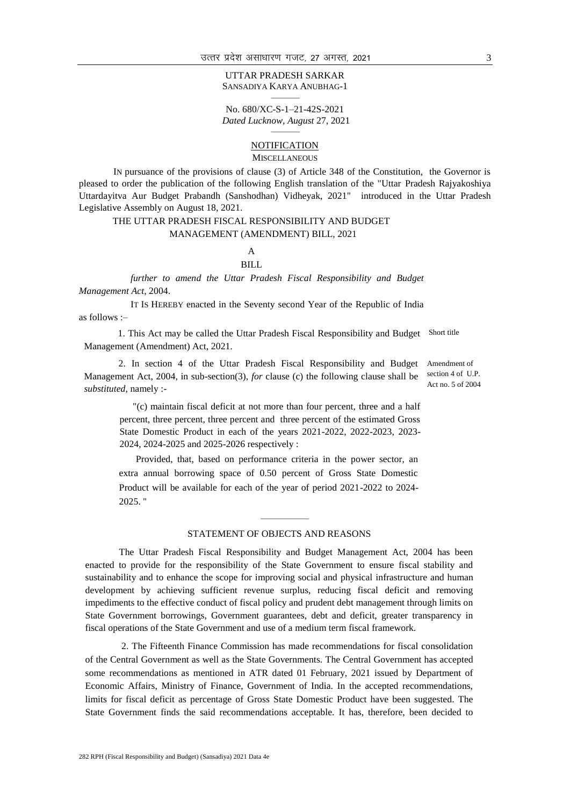#### UTTAR PRADESH SARKAR SANSADIYA KARYA ANUBHAG-1 ———

No. 680/XC-S-1–21-42S-2021 *Dated Lucknow, August* 27, 2021

#### ——— **NOTIFICATION**

MISCELLANEOUS

IN pursuance of the provisions of clause (3) of Article 348 of the Constitution, the Governor is pleased to order the publication of the following English translation of the "Uttar Pradesh Rajyakoshiya Uttardayitva Aur Budget Prabandh (Sanshodhan) Vidheyak, 2021" introduced in the Uttar Pradesh Legislative Assembly on August 18, 2021.

#### THE UTTAR PRADESH FISCAL RESPONSIBILITY AND BUDGET

#### MANAGEMENT (AMENDMENT) BILL, 2021

#### A BILL

*further to amend the Uttar Pradesh Fiscal Responsibility and Budget Management Act,* 2004.

IT IS HEREBY enacted in the Seventy second Year of the Republic of India as follows :–

1. This Act may be called the Uttar Pradesh Fiscal Responsibility and Budget Short title Management (Amendment) Act, 2021.

2. In section 4 of the Uttar Pradesh Fiscal Responsibility and Budget Amendment of Management Act, 2004, in sub-section(3), *for* clause (c) the following clause shall be *substituted*, namely :-

section 4 of U.P. Act no. 5 of 2004

"(c) maintain fiscal deficit at not more than four percent, three and a half percent, three percent, three percent and three percent of the estimated Gross State Domestic Product in each of the years 2021-2022, 2022-2023, 2023- 2024, 2024-2025 and 2025-2026 respectively :

Provided, that, based on performance criteria in the power sector, an extra annual borrowing space of 0.50 percent of Gross State Domestic Product will be available for each of the year of period 2021-2022 to 2024- 2025. "

### $\overline{\phantom{a}}$ STATEMENT OF OBJECTS AND REASONS

The Uttar Pradesh Fiscal Responsibility and Budget Management Act, 2004 has been enacted to provide for the responsibility of the State Government to ensure fiscal stability and sustainability and to enhance the scope for improving social and physical infrastructure and human development by achieving sufficient revenue surplus, reducing fiscal deficit and removing impediments to the effective conduct of fiscal policy and prudent debt management through limits on State Government borrowings, Government guarantees, debt and deficit, greater transparency in fiscal operations of the State Government and use of a medium term fiscal framework.

2. The Fifteenth Finance Commission has made recommendations for fiscal consolidation of the Central Government as well as the State Governments. The Central Government has accepted some recommendations as mentioned in ATR dated 01 February, 2021 issued by Department of Economic Affairs, Ministry of Finance, Government of India. In the accepted recommendations, limits for fiscal deficit as percentage of Gross State Domestic Product have been suggested. The State Government finds the said recommendations acceptable. It has, therefore, been decided to